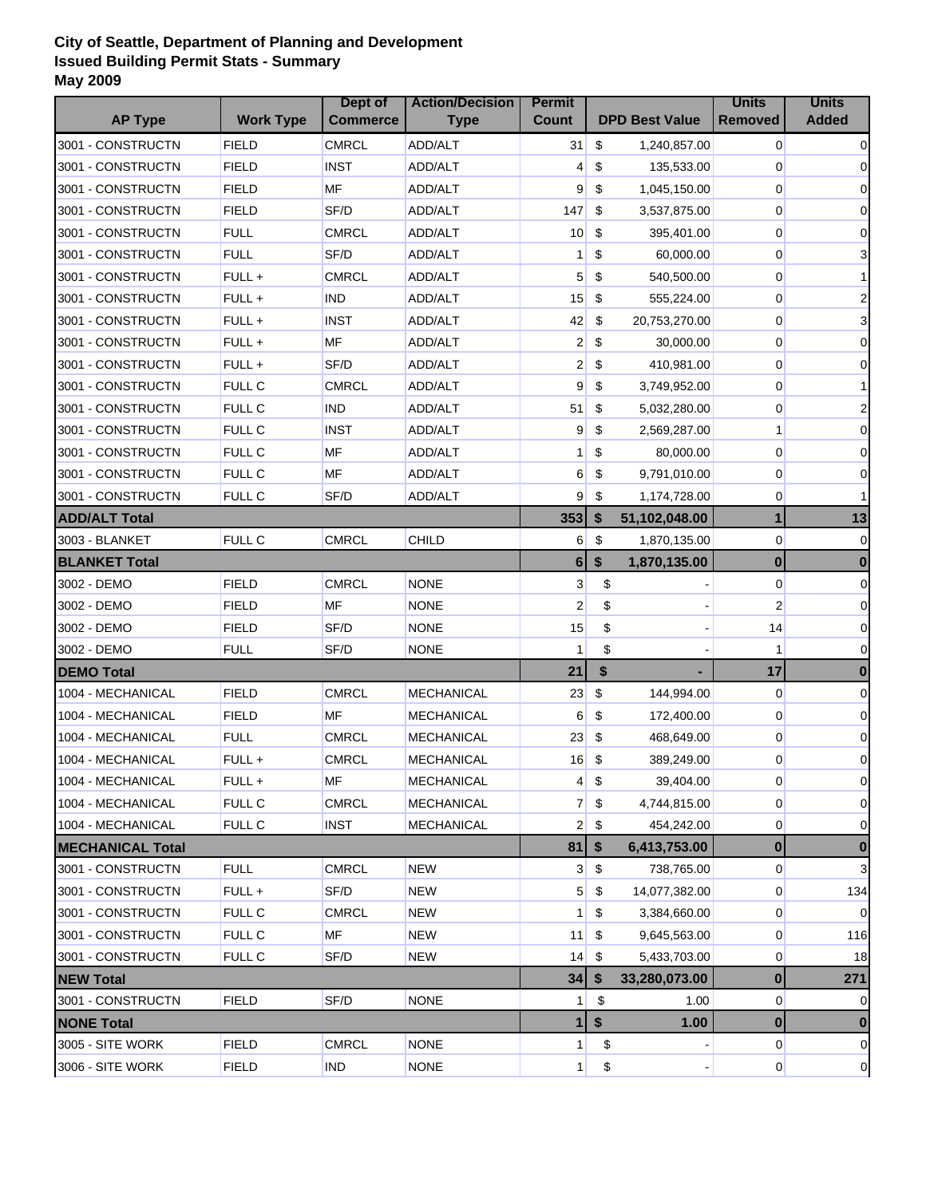## **City of Seattle, Department of Planning and Development Issued Building Permit Stats - Summary May 2009**

|                         |                  | Dept of         | <b>Action/Decision</b> | <b>Permit</b>   |                       | <b>Units</b>            | <b>Units</b>   |
|-------------------------|------------------|-----------------|------------------------|-----------------|-----------------------|-------------------------|----------------|
| <b>AP Type</b>          | <b>Work Type</b> | <b>Commerce</b> | <b>Type</b>            | Count           | <b>DPD Best Value</b> | <b>Removed</b>          | <b>Added</b>   |
| 3001 - CONSTRUCTN       | <b>FIELD</b>     | <b>CMRCL</b>    | <b>ADD/ALT</b>         | 31              | \$<br>1,240,857.00    | 0                       | 0              |
| 3001 - CONSTRUCTN       | <b>FIELD</b>     | <b>INST</b>     | ADD/ALT                | 4               | \$<br>135,533.00      | 0                       | 0              |
| 3001 - CONSTRUCTN       | <b>FIELD</b>     | <b>MF</b>       | <b>ADD/ALT</b>         | 9               | \$<br>1,045,150.00    | 0                       | 0              |
| 3001 - CONSTRUCTN       | <b>FIELD</b>     | SF/D            | ADD/ALT                | 147             | \$<br>3,537,875.00    | 0                       | 0              |
| 3001 - CONSTRUCTN       | <b>FULL</b>      | <b>CMRCL</b>    | <b>ADD/ALT</b>         | 10              | \$<br>395,401.00      | 0                       | 0              |
| 3001 - CONSTRUCTN       | <b>FULL</b>      | SF/D            | ADD/ALT                | 1               | \$<br>60,000.00       | $\overline{0}$          | 3              |
| 3001 - CONSTRUCTN       | FULL+            | <b>CMRCL</b>    | ADD/ALT                | 5 <sup>5</sup>  | \$<br>540,500.00      | 0                       |                |
| 3001 - CONSTRUCTN       | FULL+            | <b>IND</b>      | <b>ADD/ALT</b>         | 15              | \$<br>555,224.00      | 0                       | 2              |
| 3001 - CONSTRUCTN       | FULL+            | <b>INST</b>     | ADD/ALT                | 42              | \$<br>20,753,270.00   | 0                       | 3              |
| 3001 - CONSTRUCTN       | FULL+            | MF              | ADD/ALT                | $\overline{2}$  | \$<br>30,000.00       | 0                       | 0              |
| 3001 - CONSTRUCTN       | FULL+            | SF/D            | ADD/ALT                | $\overline{2}$  | \$<br>410,981.00      | $\overline{0}$          | 0              |
| 3001 - CONSTRUCTN       | <b>FULL C</b>    | <b>CMRCL</b>    | <b>ADD/ALT</b>         | 9               | \$<br>3,749,952.00    | 0                       |                |
| 3001 - CONSTRUCTN       | <b>FULL C</b>    | <b>IND</b>      | ADD/ALT                | 51              | \$<br>5,032,280.00    | 0                       |                |
| 3001 - CONSTRUCTN       | <b>FULL C</b>    | <b>INST</b>     | <b>ADD/ALT</b>         | 9               | \$<br>2,569,287.00    | 1                       | 0              |
| 3001 - CONSTRUCTN       | <b>FULL C</b>    | ΜF              | <b>ADD/ALT</b>         | 1 <sup>1</sup>  | \$<br>80,000.00       | $\overline{0}$          | 0              |
| 3001 - CONSTRUCTN       | <b>FULL C</b>    | MF              | ADD/ALT                | 6               | \$<br>9,791,010.00    | 0                       | 0              |
| 3001 - CONSTRUCTN       | <b>FULL C</b>    | SF/D            | <b>ADD/ALT</b>         | 9               | \$<br>1,174,728.00    | 0                       |                |
| <b>ADD/ALT Total</b>    |                  |                 |                        | 353             | \$<br>51,102,048.00   | $\mathbf{1}$            | 13             |
| 3003 - BLANKET          | <b>FULL C</b>    | <b>CMRCL</b>    | <b>CHILD</b>           | 6               | \$<br>1,870,135.00    | 0                       | $\mathbf 0$    |
| <b>BLANKET Total</b>    |                  |                 |                        | 6               | \$<br>1,870,135.00    | $\bf{0}$                | 0              |
| 3002 - DEMO             | <b>FIELD</b>     | <b>CMRCL</b>    | <b>NONE</b>            | $\mathbf{3}$    | \$                    | $\overline{0}$          | 0              |
| 3002 - DEMO             | <b>FIELD</b>     | <b>MF</b>       | <b>NONE</b>            | $\overline{2}$  | \$                    | $\overline{\mathbf{c}}$ | 0              |
| 3002 - DEMO             | <b>FIELD</b>     | SF/D            | <b>NONE</b>            | 15              | \$                    | 14                      | 0              |
| 3002 - DEMO             | <b>FULL</b>      | SF/D            | <b>NONE</b>            | 1               | \$                    | 1                       | 0              |
| <b>DEMO Total</b>       |                  |                 |                        | 21              | \$                    | 17                      | $\bf{0}$       |
| 1004 - MECHANICAL       | <b>FIELD</b>     | <b>CMRCL</b>    | <b>MECHANICAL</b>      | 23              | \$<br>144,994.00      | 0                       | 0              |
| 1004 - MECHANICAL       | <b>FIELD</b>     | <b>MF</b>       | MECHANICAL             | 6               | \$<br>172,400.00      | 0                       | $\mathbf 0$    |
| 1004 - MECHANICAL       | <b>FULL</b>      | <b>CMRCL</b>    | <b>MECHANICAL</b>      | 23              | \$<br>468,649.00      | 0                       | $\mathbf 0$    |
| 1004 - MECHANICAL       | FULL+            | <b>CMRCL</b>    | MECHANICAL             | 16              | \$<br>389,249.00      | 0                       | 0              |
| 1004 - MECHANICAL       | FULL +           | ΜF              | <b>MECHANICAL</b>      | $\vert 4 \vert$ | \$<br>39,404.00       | $\overline{0}$          | $\overline{0}$ |
| 1004 - MECHANICAL       | <b>FULL C</b>    | <b>CMRCL</b>    | <b>MECHANICAL</b>      | 7               | \$<br>4,744,815.00    | 0                       | $\overline{0}$ |
| 1004 - MECHANICAL       | <b>FULL C</b>    | <b>INST</b>     | <b>MECHANICAL</b>      | 2 <sub>1</sub>  | \$<br>454,242.00      | 0                       | 0              |
| <b>MECHANICAL Total</b> |                  |                 |                        |                 | \$<br>6,413,753.00    | $\bf{0}$                | 0              |
| 3001 - CONSTRUCTN       | <b>FULL</b>      | <b>CMRCL</b>    | <b>NEW</b>             | 3               | \$<br>738,765.00      | 0                       | 3              |
| 3001 - CONSTRUCTN       | FULL +           | SF/D            | NEW                    | 5               | \$<br>14,077,382.00   | 0                       | 134            |
| 3001 - CONSTRUCTN       | <b>FULL C</b>    | <b>CMRCL</b>    | NEW                    | 1 <sup>1</sup>  | \$<br>3,384,660.00    | 0                       | 0              |
| 3001 - CONSTRUCTN       | <b>FULL C</b>    | ΜF              | NEW                    | 11              | \$<br>9,645,563.00    | 0                       | 116            |
| 3001 - CONSTRUCTN       | <b>FULL C</b>    | SF/D            | <b>NEW</b>             | 14              | \$<br>5,433,703.00    | 0                       | 18             |
| <b>NEW Total</b>        |                  |                 |                        | 34              | 33,280,073.00         | $\bf{0}$                | 271            |
| 3001 - CONSTRUCTN       | <b>FIELD</b>     | SF/D            | <b>NONE</b>            | 1 <sup>1</sup>  | \$<br>1.00            | $\overline{0}$          | 0              |
| <b>NONE Total</b>       |                  |                 |                        | 1               | \$<br>1.00            | $\bf{0}$                |                |
| 3005 - SITE WORK        | <b>FIELD</b>     | <b>CMRCL</b>    | <b>NONE</b>            | $\mathbf{1}$    | \$                    | $\overline{0}$          | 0              |
| 3006 - SITE WORK        | <b>FIELD</b>     | <b>IND</b>      | <b>NONE</b>            | $\mathbf{1}$    | \$                    | $\overline{0}$          | $\overline{0}$ |